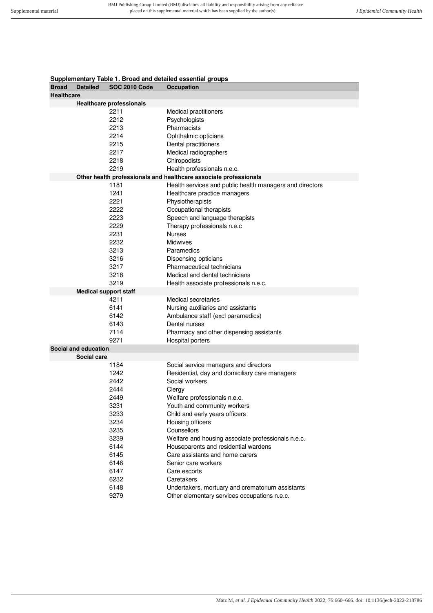| Supplementary Table 1. Broad and detailed essential groups |                                                                   |  |  |  |  |
|------------------------------------------------------------|-------------------------------------------------------------------|--|--|--|--|
| <b>Broad</b><br><b>Detailed</b><br><b>SOC 2010 Code</b>    | <b>Occupation</b>                                                 |  |  |  |  |
| <b>Healthcare</b>                                          |                                                                   |  |  |  |  |
| <b>Healthcare professionals</b>                            |                                                                   |  |  |  |  |
| 2211                                                       | <b>Medical practitioners</b>                                      |  |  |  |  |
| 2212                                                       | Psychologists                                                     |  |  |  |  |
| 2213                                                       | Pharmacists                                                       |  |  |  |  |
| 2214                                                       | Ophthalmic opticians                                              |  |  |  |  |
| 2215                                                       | Dental practitioners                                              |  |  |  |  |
| 2217                                                       | Medical radiographers                                             |  |  |  |  |
| 2218                                                       | Chiropodists                                                      |  |  |  |  |
| 2219                                                       | Health professionals n.e.c.                                       |  |  |  |  |
|                                                            | Other health professionals and healthcare associate professionals |  |  |  |  |
| 1181                                                       | Health services and public health managers and directors          |  |  |  |  |
| 1241                                                       | Healthcare practice managers                                      |  |  |  |  |
| 2221                                                       | Physiotherapists                                                  |  |  |  |  |
| 2222                                                       | Occupational therapists                                           |  |  |  |  |
| 2223                                                       | Speech and language therapists                                    |  |  |  |  |
| 2229                                                       | Therapy professionals n.e.c                                       |  |  |  |  |
| 2231                                                       | <b>Nurses</b>                                                     |  |  |  |  |
| 2232                                                       | <b>Midwives</b>                                                   |  |  |  |  |
| 3213                                                       | Paramedics                                                        |  |  |  |  |
| 3216                                                       | Dispensing opticians                                              |  |  |  |  |
| 3217                                                       | Pharmaceutical technicians                                        |  |  |  |  |
| 3218                                                       | Medical and dental technicians                                    |  |  |  |  |
| 3219                                                       | Health associate professionals n.e.c.                             |  |  |  |  |
| <b>Medical support staff</b>                               |                                                                   |  |  |  |  |
| 4211                                                       | <b>Medical secretaries</b>                                        |  |  |  |  |
| 6141                                                       | Nursing auxiliaries and assistants                                |  |  |  |  |
| 6142                                                       | Ambulance staff (excl paramedics)                                 |  |  |  |  |
| 6143                                                       | Dental nurses                                                     |  |  |  |  |
| 7114                                                       | Pharmacy and other dispensing assistants                          |  |  |  |  |
| 9271                                                       | Hospital porters                                                  |  |  |  |  |
| <b>Social and education</b>                                |                                                                   |  |  |  |  |
| <b>Social care</b>                                         |                                                                   |  |  |  |  |
| 1184                                                       | Social service managers and directors                             |  |  |  |  |
| 1242                                                       | Residential, day and domiciliary care managers                    |  |  |  |  |
| 2442                                                       | Social workers                                                    |  |  |  |  |
| 2444                                                       | Clergy                                                            |  |  |  |  |
| 2449                                                       | Welfare professionals n.e.c.                                      |  |  |  |  |
| 3231                                                       | Youth and community workers                                       |  |  |  |  |
| 3233                                                       | Child and early years officers                                    |  |  |  |  |
| 3234                                                       | Housing officers                                                  |  |  |  |  |
| 3235                                                       | Counsellors                                                       |  |  |  |  |
| 3239                                                       | Welfare and housing associate professionals n.e.c.                |  |  |  |  |
| 6144                                                       | Houseparents and residential wardens                              |  |  |  |  |
| 6145                                                       | Care assistants and home carers                                   |  |  |  |  |
| 6146                                                       | Senior care workers                                               |  |  |  |  |
| 6147                                                       | Care escorts                                                      |  |  |  |  |
| 6232                                                       | Caretakers                                                        |  |  |  |  |
| 6148                                                       | Undertakers, mortuary and crematorium assistants                  |  |  |  |  |
| 9279                                                       | Other elementary services occupations n.e.c.                      |  |  |  |  |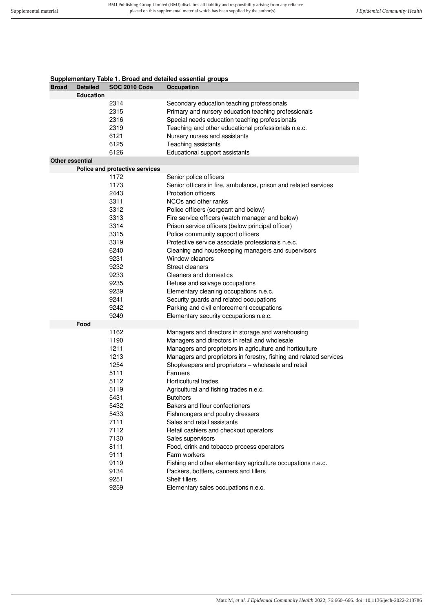| <b>Broad</b>           | <b>Detailed</b>  | <b>SOC 2010 Code</b>                                                                                                         | Supplementary Table T. Broad and detailed essential groups<br><b>Occupation</b>                                                                                                                                                                                                                                                                                                                                                                                                                                                                                                                                                                                                    |
|------------------------|------------------|------------------------------------------------------------------------------------------------------------------------------|------------------------------------------------------------------------------------------------------------------------------------------------------------------------------------------------------------------------------------------------------------------------------------------------------------------------------------------------------------------------------------------------------------------------------------------------------------------------------------------------------------------------------------------------------------------------------------------------------------------------------------------------------------------------------------|
|                        | <b>Education</b> |                                                                                                                              |                                                                                                                                                                                                                                                                                                                                                                                                                                                                                                                                                                                                                                                                                    |
|                        |                  | 2314<br>2315<br>2316<br>2319<br>6121<br>6125                                                                                 | Secondary education teaching professionals<br>Primary and nursery education teaching professionals<br>Special needs education teaching professionals<br>Teaching and other educational professionals n.e.c.<br>Nursery nurses and assistants<br>Teaching assistants                                                                                                                                                                                                                                                                                                                                                                                                                |
| <b>Other essential</b> |                  | 6126                                                                                                                         | Educational support assistants                                                                                                                                                                                                                                                                                                                                                                                                                                                                                                                                                                                                                                                     |
|                        |                  | <b>Police and protective services</b>                                                                                        |                                                                                                                                                                                                                                                                                                                                                                                                                                                                                                                                                                                                                                                                                    |
|                        |                  | 1172                                                                                                                         | Senior police officers                                                                                                                                                                                                                                                                                                                                                                                                                                                                                                                                                                                                                                                             |
|                        |                  | 1173<br>2443<br>3311<br>3312<br>3313<br>3314<br>3315<br>3319<br>6240<br>9231<br>9232<br>9233<br>9235<br>9239<br>9241<br>9242 | Senior officers in fire, ambulance, prison and related services<br><b>Probation officers</b><br>NCO <sub>s</sub> and other ranks<br>Police officers (sergeant and below)<br>Fire service officers (watch manager and below)<br>Prison service officers (below principal officer)<br>Police community support officers<br>Protective service associate professionals n.e.c.<br>Cleaning and housekeeping managers and supervisors<br>Window cleaners<br><b>Street cleaners</b><br><b>Cleaners and domestics</b><br>Refuse and salvage occupations<br>Elementary cleaning occupations n.e.c.<br>Security guards and related occupations<br>Parking and civil enforcement occupations |
|                        |                  | 9249                                                                                                                         | Elementary security occupations n.e.c.                                                                                                                                                                                                                                                                                                                                                                                                                                                                                                                                                                                                                                             |
|                        | Food             |                                                                                                                              |                                                                                                                                                                                                                                                                                                                                                                                                                                                                                                                                                                                                                                                                                    |
|                        |                  | 1162<br>1190<br>1211<br>1213<br>1254<br>5111<br>5112<br>5119<br>5431                                                         | Managers and directors in storage and warehousing<br>Managers and directors in retail and wholesale<br>Managers and proprietors in agriculture and horticulture<br>Managers and proprietors in forestry, fishing and related services<br>Shopkeepers and proprietors – wholesale and retail<br>Farmers<br>Horticultural trades<br>Agricultural and fishing trades n.e.c.<br><b>Butchers</b>                                                                                                                                                                                                                                                                                        |
|                        |                  | 5432                                                                                                                         | Bakers and flour confectioners                                                                                                                                                                                                                                                                                                                                                                                                                                                                                                                                                                                                                                                     |
|                        |                  | 5433<br>7111<br>7112<br>7130<br>8111                                                                                         | Fishmongers and poultry dressers<br>Sales and retail assistants<br>Retail cashiers and checkout operators<br>Sales supervisors<br>Food, drink and tobacco process operators                                                                                                                                                                                                                                                                                                                                                                                                                                                                                                        |
|                        |                  | 9111                                                                                                                         | Farm workers                                                                                                                                                                                                                                                                                                                                                                                                                                                                                                                                                                                                                                                                       |
|                        |                  | 9119                                                                                                                         | Fishing and other elementary agriculture occupations n.e.c.                                                                                                                                                                                                                                                                                                                                                                                                                                                                                                                                                                                                                        |
|                        |                  | 9134                                                                                                                         | Packers, bottlers, canners and fillers                                                                                                                                                                                                                                                                                                                                                                                                                                                                                                                                                                                                                                             |
|                        |                  | 9251<br>9259                                                                                                                 | Shelf fillers<br>Elementary sales occupations n.e.c.                                                                                                                                                                                                                                                                                                                                                                                                                                                                                                                                                                                                                               |

## **Supplementary Table 1. Broad and detailed essential groups**